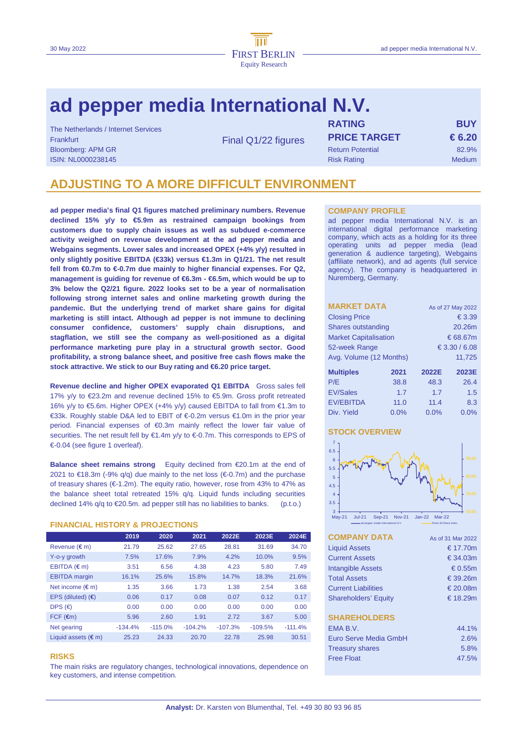# **ad pepper media International N.V.**

| The Netherlands / Internet Services |                     | <b>RATING</b>           | <b>BUY</b>    |
|-------------------------------------|---------------------|-------------------------|---------------|
|                                     |                     |                         |               |
| Frankfurt                           | Final Q1/22 figures | <b>PRICE TARGET</b>     | € 6.20        |
| <b>Bloomberg: APM GR</b>            |                     | <b>Return Potential</b> | 82.9%         |
| ISIN: NL0000238145                  |                     | <b>Risk Rating</b>      | <b>Medium</b> |
|                                     |                     |                         |               |

## **ADJUSTING TO A MORE DIFFICULT ENVIRONMENT**

**ad pepper media's final Q1 figures matched preliminary numbers. Revenue declined 15% y/y to €5.9m as restrained campaign bookings from customers due to supply chain issues as well as subdued e-commerce activity weighed on revenue development at the ad pepper media and Webgains segments. Lower sales and increased OPEX (+4% y/y) resulted in only slightly positive EBITDA (€33k) versus €1.3m in Q1/21. The net result fell from €0.7m to €-0.7m due mainly to higher financial expenses. For Q2, management is guiding for revenue of €6.3m - €6.5m, which would be up to 3% below the Q2/21 figure. 2022 looks set to be a year of normalisation following strong internet sales and online marketing growth during the pandemic. But the underlying trend of market share gains for digital marketing is still intact. Although ad pepper is not immune to declining consumer confidence, customers' supply chain disruptions, and stagflation, we still see the company as well-positioned as a digital performance marketing pure play in a structural growth sector. Good profitability, a strong balance sheet, and positive free cash flows make the stock attractive. We stick to our Buy rating and €6.20 price target.** 

**Revenue decline and higher OPEX evaporated Q1 EBITDA** Gross sales fell 17% y/y to €23.2m and revenue declined 15% to €5.9m. Gross profit retreated 16% y/y to €5.6m. Higher OPEX (+4% y/y) caused EBITDA to fall from €1.3m to €33k. Roughly stable D&A led to EBIT of €-0.2m versus €1.0m in the prior year period. Financial expenses of €0.3m mainly reflect the lower fair value of securities. The net result fell by  $€1.4m$  y/y to  $€0.7m$ . This corresponds to EPS of €-0.04 (see figure 1 overleaf).

**Balance sheet remains strong** Equity declined from €20.1m at the end of 2021 to €18.3m (-9% q/q) due mainly to the net loss (€-0.7m) and the purchase of treasury shares (€-1.2m). The equity ratio, however, rose from 43% to 47% as the balance sheet total retreated 15% q/q. Liquid funds including securities declined 14%  $q/q$  to  $\in 20.5$ m. ad pepper still has no liabilities to banks. (p.t.o.)

## **FINANCIAL HISTORY & PROJECTIONS**

|                              | 2019      | 2020      | 2021      | 2022E     | 2023E     | 2024E     |
|------------------------------|-----------|-----------|-----------|-----------|-----------|-----------|
| Revenue (€m)                 | 21.79     | 25.62     | 27.65     | 28.81     | 31.69     | 34.70     |
| Y-o-y growth                 | 7.5%      | 17.6%     | 7.9%      | 4.2%      | 10.0%     | 9.5%      |
| EBITDA $(\epsilon m)$        | 3.51      | 6.56      | 4.38      | 4.23      | 5.80      | 7.49      |
| <b>EBITDA</b> margin         | 16.1%     | 25.6%     | 15.8%     | 14.7%     | 18.3%     | 21.6%     |
| Net income $(\epsilon m)$    | 1.35      | 3.66      | 1.73      | 1.38      | 2.54      | 3.68      |
| EPS (diluted) $(6)$          | 0.06      | 0.17      | 0.08      | 0.07      | 0.12      | 0.17      |
| DPS $(\epsilon)$             | 0.00      | 0.00      | 0.00      | 0.00      | 0.00      | 0.00      |
| $FCF$ ( $\epsilon$ m)        | 5.96      | 2.60      | 1.91      | 2.72      | 3.67      | 5.00      |
| Net gearing                  | $-134.4%$ | $-115.0%$ | $-104.2%$ | $-107.3%$ | $-109.5%$ | $-111.4%$ |
| Liquid assets $(\epsilon m)$ | 25.23     | 24.33     | 20.70     | 22.78     | 25.98     | 30.51     |

### **RISKS**

The main risks are regulatory changes, technological innovations, dependence on key customers, and intense competition.

### **COMPANY PROFILE**

ad pepper media International N.V. is an international digital performance marketing company, which acts as a holding for its three operating units ad pepper media (lead generation & audience targeting), Webgains (affiliate network), and ad agents (full service agency). The company is headquartered in Nuremberg, Germany.

| <b>MARKET DATA</b>           |               | As of 27 May 2022 |       |  |
|------------------------------|---------------|-------------------|-------|--|
| <b>Closing Price</b>         |               | € 3.39            |       |  |
| Shares outstanding           |               | 20.26m            |       |  |
| <b>Market Capitalisation</b> |               | € 68.67m          |       |  |
| 52-week Range                | € 3.30 / 6.08 |                   |       |  |
| Avg. Volume (12 Months)      |               | 11,725            |       |  |
| <b>Multiples</b>             | 2021          | 2022E             | 2023E |  |
| P/E                          | 38.8          | 48.3              | 26.4  |  |
| <b>EV/Sales</b>              | 1.7           | 1.7               | 1.5   |  |
| <b>EV/EBITDA</b>             | 11.0          | 11.4              | 8.3   |  |
| Div. Yield                   | 0.0%          | 0.0%              | 0.0%  |  |

## **STOCK OVERVIEW**



| <b>COMPANY DATA</b>         | As of 31 Mar 2022 |
|-----------------------------|-------------------|
| <b>Liquid Assets</b>        | € 17.70m          |
| <b>Current Assets</b>       | $\epsilon$ 34.03m |
| <b>Intangible Assets</b>    | € 0.55 $m$        |
| <b>Total Assets</b>         | € 39.26m          |
| <b>Current Liabilities</b>  | € 20.08m          |
| <b>Shareholders' Equity</b> | € 18.29m          |
|                             |                   |
| <b>SHAREHOLDERS</b>         |                   |
| FMA B.V.                    | 44.1%             |
| Furo Serve Media GmbH       | 2.6%              |
| <b>Treasury shares</b>      | 5.8%              |
| <b>Free Float</b>           | 47.5%             |
|                             |                   |
|                             |                   |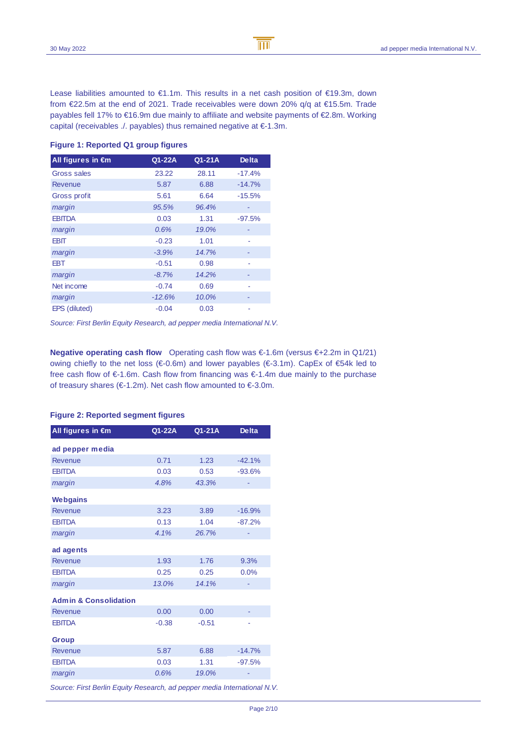Lease liabilities amounted to €1.1m. This results in a net cash position of €19.3m, down from €22.5m at the end of 2021. Trade receivables were down 20% q/q at €15.5m. Trade payables fell 17% to €16.9m due mainly to affiliate and website payments of €2.8m. Working capital (receivables ./. payables) thus remained negative at €-1.3m.

### **Figure 1: Reported Q1 group figures**

| All figures in €m  | Q1-22A   | Q1-21A | <b>Delta</b> |
|--------------------|----------|--------|--------------|
| <b>Gross sales</b> | 23.22    | 28.11  | $-17.4%$     |
| Revenue            | 5.87     | 6.88   | $-14.7%$     |
| Gross profit       | 5.61     | 6.64   | $-15.5%$     |
| margin             | 95.5%    | 96.4%  | ۰            |
| <b>EBITDA</b>      | 0.03     | 1.31   | $-97.5%$     |
| margin             | 0.6%     | 19.0%  |              |
| EBIT               | $-0.23$  | 1.01   | ٠            |
| margin             | $-3.9%$  | 14.7%  |              |
| EBT                | $-0.51$  | 0.98   |              |
| margin             | $-8.7%$  | 14.2%  |              |
| Net income         | $-0.74$  | 0.69   |              |
| margin             | $-12.6%$ | 10.0%  |              |
| EPS (diluted)      | $-0.04$  | 0.03   |              |

Source: First Berlin Equity Research, ad pepper media International N.V.

**Negative operating cash flow** Operating cash flow was €-1.6m (versus €+2.2m in Q1/21) owing chiefly to the net loss (€-0.6m) and lower payables (€-3.1m). CapEx of €54k led to free cash flow of €-1.6m. Cash flow from financing was €-1.4m due mainly to the purchase of treasury shares (€-1.2m). Net cash flow amounted to €-3.0m.

| All figures in €m                | Q1-22A  | Q1-21A  | <b>Delta</b> |
|----------------------------------|---------|---------|--------------|
| ad pepper media                  |         |         |              |
| Revenue                          | 0.71    | 1.23    | $-42.1%$     |
| <b>EBITDA</b>                    | 0.03    | 0.53    | $-93.6%$     |
| margin                           | 4.8%    | 43.3%   |              |
| <b>Webgains</b>                  |         |         |              |
| <b>Revenue</b>                   | 3.23    | 3.89    | $-16.9%$     |
| <b>EBITDA</b>                    | 0.13    | 1.04    | $-87.2%$     |
| margin                           | 4.1%    | 26.7%   |              |
| ad agents                        |         |         |              |
| Revenue                          | 1.93    | 1.76    | 9.3%         |
| <b>EBITDA</b>                    | 0.25    | 0.25    | 0.0%         |
| margin                           | 13.0%   | 14.1%   |              |
| <b>Admin &amp; Consolidation</b> |         |         |              |
| Revenue                          | 0.00    | 0.00    |              |
| <b>EBITDA</b>                    | $-0.38$ | $-0.51$ |              |
| <b>Group</b>                     |         |         |              |
| Revenue                          | 5.87    | 6.88    | $-14.7%$     |
| <b>EBITDA</b>                    | 0.03    | 1.31    | $-97.5%$     |
| margin                           | 0.6%    | 19.0%   |              |

## **Figure 2: Reported segment figures**

Source: First Berlin Equity Research, ad pepper media International N.V.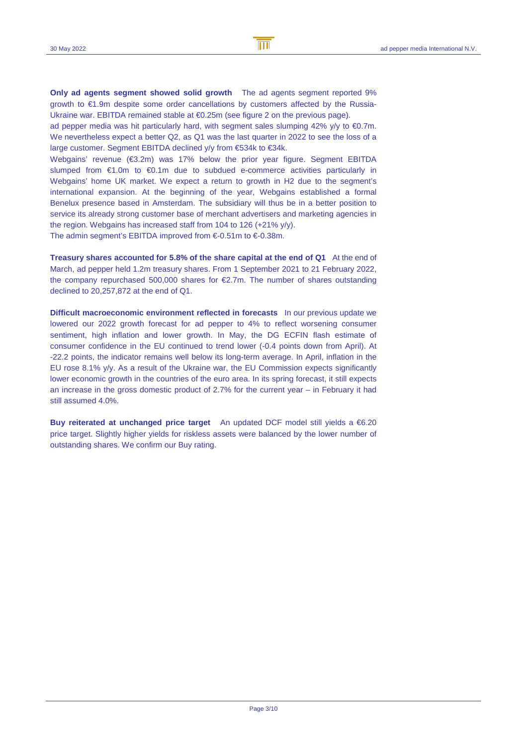**Only ad agents segment showed solid growth** The ad agents segment reported 9% growth to €1.9m despite some order cancellations by customers affected by the Russia-Ukraine war. EBITDA remained stable at €0.25m (see figure 2 on the previous page).

ad pepper media was hit particularly hard, with segment sales slumping 42%  $y/y$  to  $\epsilon$ 0.7m. We nevertheless expect a better Q2, as Q1 was the last quarter in 2022 to see the loss of a large customer. Segment EBITDA declined y/y from €534k to €34k.

Webgains' revenue (€3.2m) was 17% below the prior year figure. Segment EBITDA slumped from €1.0m to €0.1m due to subdued e-commerce activities particularly in Webgains' home UK market. We expect a return to growth in H2 due to the segment's international expansion. At the beginning of the year, Webgains established a formal Benelux presence based in Amsterdam. The subsidiary will thus be in a better position to service its already strong customer base of merchant advertisers and marketing agencies in the region. Webgains has increased staff from 104 to 126 (+21% y/y).

The admin segment's EBITDA improved from  $\epsilon$ -0.51m to  $\epsilon$ 0.38m.

**Treasury shares accounted for 5.8% of the share capital at the end of Q1** At the end of March, ad pepper held 1.2m treasury shares. From 1 September 2021 to 21 February 2022, the company repurchased 500,000 shares for €2.7m. The number of shares outstanding declined to 20,257,872 at the end of Q1.

**Difficult macroeconomic environment reflected in forecasts** In our previous update we lowered our 2022 growth forecast for ad pepper to 4% to reflect worsening consumer sentiment, high inflation and lower growth. In May, the DG ECFIN flash estimate of consumer confidence in the EU continued to trend lower (-0.4 points down from April). At -22.2 points, the indicator remains well below its long-term average. In April, inflation in the EU rose 8.1% y/y. As a result of the Ukraine war, the EU Commission expects significantly lower economic growth in the countries of the euro area. In its spring forecast, it still expects an increase in the gross domestic product of 2.7% for the current year – in February it had still assumed 4.0%.

**Buy reiterated at unchanged price target** An updated DCF model still yields a €6.20 price target. Slightly higher yields for riskless assets were balanced by the lower number of outstanding shares. We confirm our Buy rating.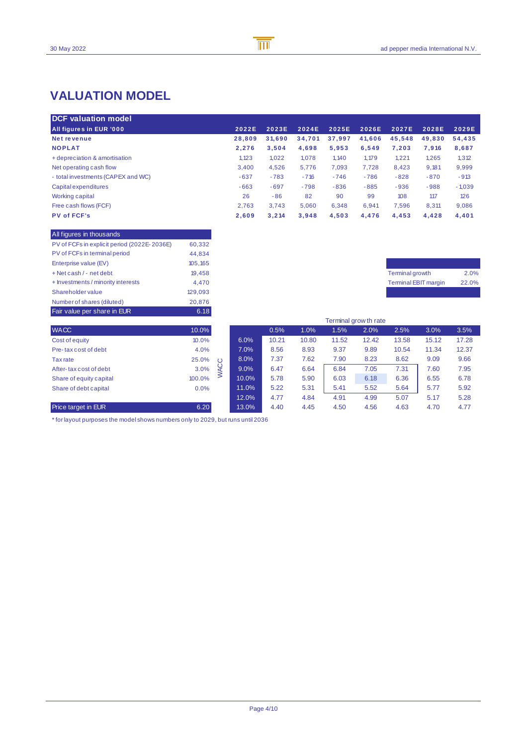## **VALUATION MODEL**

| <b>DCF valuation model</b>         |        |        |        |        |        |        |        |          |
|------------------------------------|--------|--------|--------|--------|--------|--------|--------|----------|
| All figures in EUR '000            | 2022E  | 2023E  | 2024E  | 2025E  | 2026E  | 2027E  | 2028E  | 2029E    |
| Net revenue                        | 28.809 | 31.690 | 34.701 | 37.997 | 41.606 | 45.548 | 49.830 | 54.435   |
| <b>NOPLAT</b>                      | 2.276  | 3.504  | 4,698  | 5.953  | 6.549  | 7.203  | 7.916  | 8,687    |
| + depreciation & amortisation      | 1.123  | 1.022  | 1,078  | 1,140  | 1.179  | 1,221  | 1,265  | 1,312    |
| Net operating cash flow            | 3.400  | 4.526  | 5.776  | 7,093  | 7.728  | 8,423  | 9,181  | 9,999    |
| - total investments (CAPEX and WC) | $-637$ | $-783$ | $-716$ | $-746$ | $-786$ | $-828$ | $-870$ | $-913$   |
| Capital expenditures               | $-663$ | $-697$ | $-798$ | $-836$ | $-885$ | $-936$ | $-988$ | $-1,039$ |
| Working capital                    | 26     | $-86$  | 82     | 90     | 99     | 108    | 117    | 126      |
| Free cash flows (FCF)              | 2.763  | 3.743  | 5.060  | 6.348  | 6.941  | 7.596  | 8.311  | 9.086    |
| <b>PV of FCF's</b>                 | 2.609  | 3.214  | 3.948  | 4.503  | 4.476  | 4.453  | 4.428  | 4,401    |

B

 $\overline{\mathbb{m}}$ 

| Fair value per share in EUR                 | 6.18     |
|---------------------------------------------|----------|
| Number of shares (diluted)                  | 20,876   |
| Shareholder value                           | 129.093  |
| + Investments / minority interests          | 4.470    |
| + Net cash / - net debt                     | 19.458   |
| Enterprise value (EV)                       | 105, 165 |
| PV of FCFs in terminal period               | 44,834   |
| PV of FCFs in explicit period (2022E-2036E) | 60,332   |
| All figures in thousands                    |          |

| Terminal growth             | 2.0%  |
|-----------------------------|-------|
| <b>Terminal EBIT margin</b> | 22.0% |
|                             |       |

|                            |        | Terminal grow th rate |       |       |       |       |       |       |       |       |
|----------------------------|--------|-----------------------|-------|-------|-------|-------|-------|-------|-------|-------|
| <b>WACC</b>                | 10.0%  |                       |       | 0.5%  | 1.0%  | 1.5%  | 2.0%  | 2.5%  | 3.0%  | 3.5%  |
| Cost of equity             | 10.0%  |                       | 6.0%  | 10.21 | 10.80 | 11.52 | 12.42 | 13.58 | 15.12 | 17.28 |
| Pre-tax cost of debt       | 4.0%   |                       | 7.0%  | 8.56  | 8.93  | 9.37  | 9.89  | 10.54 | 11.34 | 12.37 |
| Tax rate                   | 25.0%  | $\circ$               | 8.0%  | 7.37  | 7.62  | 7.90  | 8.23  | 8.62  | 9.09  | 9.66  |
| After-tax cost of debt     | 3.0%   |                       | 9.0%  | 6.47  | 6.64  | 6.84  | 7.05  | 7.31  | 7.60  | 7.95  |
| Share of equity capital    | 100.0% | 3                     | 10.0% | 5.78  | 5.90  | 6.03  | 6.18  | 6.36  | 6.55  | 6.78  |
| Share of debt capital      | 0.0%   |                       | 11.0% | 5.22  | 5.31  | 5.41  | 5.52  | 5.64  | 5.77  | 5.92  |
|                            |        |                       | 12.0% | 4.77  | 4.84  | 4.91  | 4.99  | 5.07  | 5.17  | 5.28  |
| <b>Price target in EUR</b> | 6.20   |                       | 13.0% | 4.40  | 4.45  | 4.50  | 4.56  | 4.63  | 4.70  | 4.77  |

 $*$  for layout purposes the model shows numbers only to 2029, but runs until 2036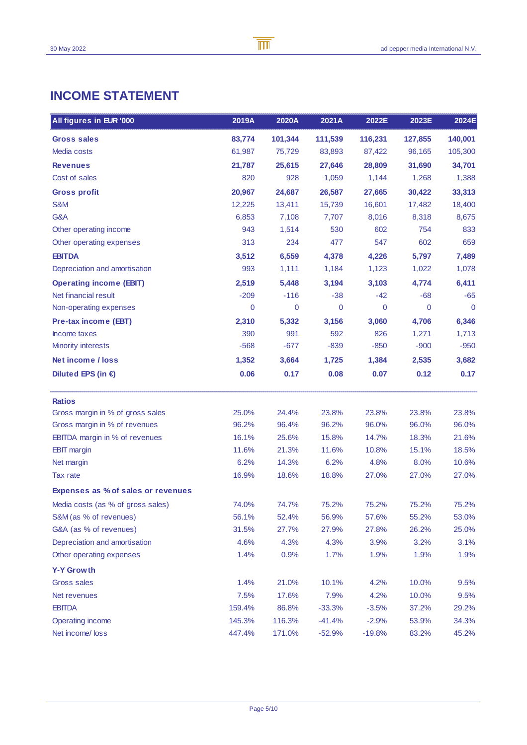## **INCOME STATEMENT**

| All figures in EUR '000               | 2019A  | 2020A   | 2021A        | 2022E       | 2023E   | 2024E       |
|---------------------------------------|--------|---------|--------------|-------------|---------|-------------|
| <b>Gross sales</b>                    | 83,774 | 101,344 | 111,539      | 116,231     | 127,855 | 140,001     |
| Media costs                           | 61,987 | 75,729  | 83,893       | 87,422      | 96,165  | 105,300     |
| <b>Revenues</b>                       | 21,787 | 25,615  | 27,646       | 28,809      | 31,690  | 34,701      |
| Cost of sales                         | 820    | 928     | 1,059        | 1,144       | 1,268   | 1,388       |
| <b>Gross profit</b>                   | 20,967 | 24,687  | 26,587       | 27,665      | 30,422  | 33,313      |
| S&M                                   | 12,225 | 13,411  | 15,739       | 16,601      | 17,482  | 18,400      |
| G&A                                   | 6,853  | 7,108   | 7,707        | 8,016       | 8,318   | 8,675       |
| Other operating income                | 943    | 1,514   | 530          | 602         | 754     | 833         |
| Other operating expenses              | 313    | 234     | 477          | 547         | 602     | 659         |
| <b>EBITDA</b>                         | 3,512  | 6,559   | 4,378        | 4,226       | 5,797   | 7,489       |
| Depreciation and amortisation         | 993    | 1,111   | 1,184        | 1,123       | 1,022   | 1,078       |
| <b>Operating income (EBIT)</b>        | 2,519  | 5,448   | 3,194        | 3,103       | 4,774   | 6,411       |
| Net financial result                  | $-209$ | $-116$  | $-38$        | -42         | $-68$   | $-65$       |
| Non-operating expenses                | 0      | 0       | $\mathbf{0}$ | $\mathbf 0$ | 0       | $\mathbf 0$ |
| <b>Pre-tax income (EBT)</b>           | 2,310  | 5,332   | 3,156        | 3,060       | 4,706   | 6,346       |
| Income taxes                          | 390    | 991     | 592          | 826         | 1,271   | 1,713       |
| <b>Minority interests</b>             | $-568$ | $-677$  | $-839$       | $-850$      | $-900$  | $-950$      |
| Net income / loss                     | 1,352  | 3,664   | 1,725        | 1,384       | 2,535   | 3,682       |
| Diluted EPS (in $\epsilon$ )          | 0.06   | 0.17    | 0.08         | 0.07        | 0.12    | 0.17        |
| <b>Ratios</b>                         |        |         |              |             |         |             |
| Gross margin in % of gross sales      | 25.0%  | 24.4%   | 23.8%        | 23.8%       | 23.8%   | 23.8%       |
| Gross margin in % of revenues         | 96.2%  | 96.4%   | 96.2%        | 96.0%       | 96.0%   | 96.0%       |
| <b>EBITDA</b> margin in % of revenues | 16.1%  | 25.6%   | 15.8%        | 14.7%       | 18.3%   | 21.6%       |
| <b>EBIT</b> margin                    | 11.6%  | 21.3%   | 11.6%        | 10.8%       | 15.1%   | 18.5%       |
| Net margin                            | 6.2%   | 14.3%   | 6.2%         | 4.8%        | 8.0%    | 10.6%       |
| Tax rate                              | 16.9%  | 18.6%   | 18.8%        | 27.0%       | 27.0%   | 27.0%       |
| Expenses as % of sales or revenues    |        |         |              |             |         |             |
| Media costs (as % of gross sales)     | 74.0%  | 74.7%   | 75.2%        | 75.2%       | 75.2%   | 75.2%       |
| S&M (as % of revenues)                | 56.1%  | 52.4%   | 56.9%        | 57.6%       | 55.2%   | 53.0%       |
| G&A (as % of revenues)                | 31.5%  | 27.7%   | 27.9%        | 27.8%       | 26.2%   | 25.0%       |
| Depreciation and amortisation         | 4.6%   | 4.3%    | 4.3%         | 3.9%        | 3.2%    | 3.1%        |
| Other operating expenses              | 1.4%   | 0.9%    | 1.7%         | 1.9%        | 1.9%    | 1.9%        |
| <b>Y-Y Growth</b>                     |        |         |              |             |         |             |
| <b>Gross sales</b>                    | 1.4%   | 21.0%   | 10.1%        | 4.2%        | 10.0%   | 9.5%        |
| Net revenues                          | 7.5%   | 17.6%   | 7.9%         | 4.2%        | 10.0%   | 9.5%        |
| <b>EBITDA</b>                         | 159.4% | 86.8%   | $-33.3%$     | $-3.5%$     | 37.2%   | 29.2%       |
| Operating income                      | 145.3% | 116.3%  | $-41.4%$     | $-2.9%$     | 53.9%   | 34.3%       |
| Net income/loss                       | 447.4% | 171.0%  | $-52.9%$     | $-19.8%$    | 83.2%   | 45.2%       |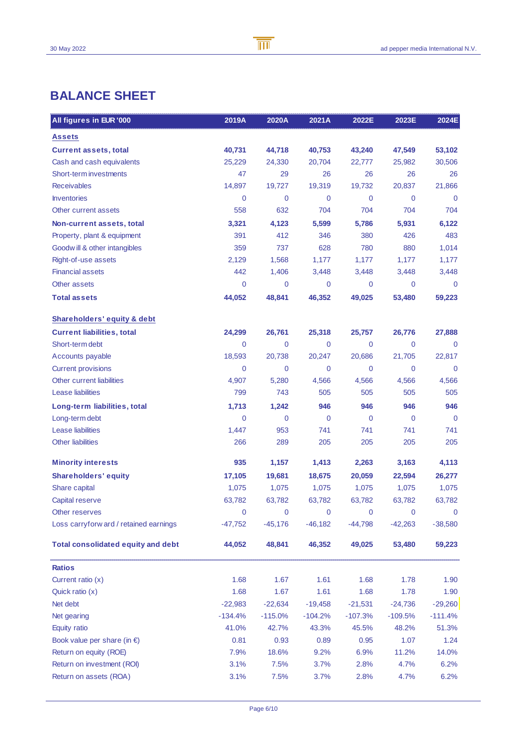## **BALANCE SHEET**

| All figures in EUR '000                   | 2019A          | 2020A          | 2021A     | 2022E       | 2023E       | 2024E       |
|-------------------------------------------|----------------|----------------|-----------|-------------|-------------|-------------|
| <b>Assets</b>                             |                |                |           |             |             |             |
| <b>Current assets, total</b>              | 40,731         | 44,718         | 40,753    | 43,240      | 47,549      | 53,102      |
| Cash and cash equivalents                 | 25,229         | 24,330         | 20,704    | 22,777      | 25,982      | 30,506      |
| Short-term investments                    | 47             | 29             | 26        | 26          | 26          | 26          |
| <b>Receivables</b>                        | 14,897         | 19,727         | 19,319    | 19,732      | 20,837      | 21,866      |
| <b>Inventories</b>                        | $\mathbf 0$    | 0              | 0         | 0           | $\mathbf 0$ | 0           |
| Other current assets                      | 558            | 632            | 704       | 704         | 704         | 704         |
| Non-current assets, total                 | 3,321          | 4,123          | 5,599     | 5,786       | 5,931       | 6,122       |
| Property, plant & equipment               | 391            | 412            | 346       | 380         | 426         | 483         |
| Goodwill & other intangibles              | 359            | 737            | 628       | 780         | 880         | 1,014       |
| Right-of-use assets                       | 2,129          | 1,568          | 1,177     | 1,177       | 1,177       | 1,177       |
| <b>Financial assets</b>                   | 442            | 1,406          | 3,448     | 3,448       | 3,448       | 3,448       |
| <b>Other assets</b>                       | $\mathbf 0$    | 0              | 0         | 0           | $\mathbf 0$ | $\mathbf 0$ |
| <b>Total assets</b>                       | 44,052         | 48,841         | 46,352    | 49,025      | 53,480      | 59,223      |
| <b>Shareholders' equity &amp; debt</b>    |                |                |           |             |             |             |
| <b>Current liabilities, total</b>         | 24,299         | 26,761         | 25,318    | 25,757      | 26,776      | 27,888      |
| Short-term debt                           | $\overline{0}$ | 0              | 0         | 0           | $\mathbf 0$ | 0           |
| Accounts payable                          | 18,593         | 20,738         | 20,247    | 20,686      | 21,705      | 22,817      |
| <b>Current provisions</b>                 | $\mathbf 0$    | 0              | 0         | 0           | $\mathbf 0$ | 0           |
| Other current liabilities                 | 4,907          | 5,280          | 4,566     | 4,566       | 4,566       | 4,566       |
| Lease liabilities                         | 799            | 743            | 505       | 505         | 505         | 505         |
| Long-term liabilities, total              | 1,713          | 1,242          | 946       | 946         | 946         | 946         |
| Long-term debt                            | $\mathbf 0$    | $\overline{0}$ | 0         | $\mathbf 0$ | $\mathbf 0$ | $\mathbf 0$ |
| Lease liabilities                         | 1,447          | 953            | 741       | 741         | 741         | 741         |
| <b>Other liabilities</b>                  | 266            | 289            | 205       | 205         | 205         | 205         |
| <b>Minority interests</b>                 | 935            | 1,157          | 1,413     | 2,263       | 3,163       | 4,113       |
| <b>Shareholders' equity</b>               | 17,105         | 19,681         | 18,675    | 20,059      | 22,594      | 26,277      |
| Share capital                             | 1,075          | 1,075          | 1,075     | 1,075       | 1,075       | 1,075       |
| Capital reserve                           | 63,782         | 63,782         | 63,782    | 63,782      | 63,782      | 63,782      |
| Other reserves                            | $\mathbf 0$    | 0              | 0         | $\mathbf 0$ | 0           | 0           |
| Loss carryforw ard / retained earnings    | -47,752        | $-45,176$      | $-46,182$ | $-44,798$   | $-42,263$   | $-38,580$   |
| <b>Total consolidated equity and debt</b> | 44,052         | 48,841         | 46,352    | 49,025      | 53,480      | 59,223      |
| <b>Ratios</b>                             |                |                |           |             |             |             |
| Current ratio (x)                         | 1.68           | 1.67           | 1.61      | 1.68        | 1.78        | 1.90        |
| Quick ratio (x)                           | 1.68           | 1.67           | 1.61      | 1.68        | 1.78        | 1.90        |
| Net debt                                  | $-22,983$      | $-22,634$      | $-19,458$ | $-21,531$   | $-24,736$   | $-29,260$   |
| Net gearing                               | $-134.4%$      | $-115.0%$      | $-104.2%$ | $-107.3%$   | $-109.5%$   | $-111.4%$   |
| Equity ratio                              | 41.0%          | 42.7%          | 43.3%     | 45.5%       | 48.2%       | 51.3%       |
| Book value per share (in $\epsilon$ )     | 0.81           | 0.93           | 0.89      | 0.95        | 1.07        | 1.24        |
| Return on equity (ROE)                    | 7.9%           | 18.6%          | 9.2%      | 6.9%        | 11.2%       | 14.0%       |
| Return on investment (ROI)                | 3.1%           | 7.5%           | 3.7%      | 2.8%        | 4.7%        | 6.2%        |
| Return on assets (ROA)                    | 3.1%           | 7.5%           | 3.7%      | 2.8%        | 4.7%        | 6.2%        |

B

 $\overline{\mathbb{m}}$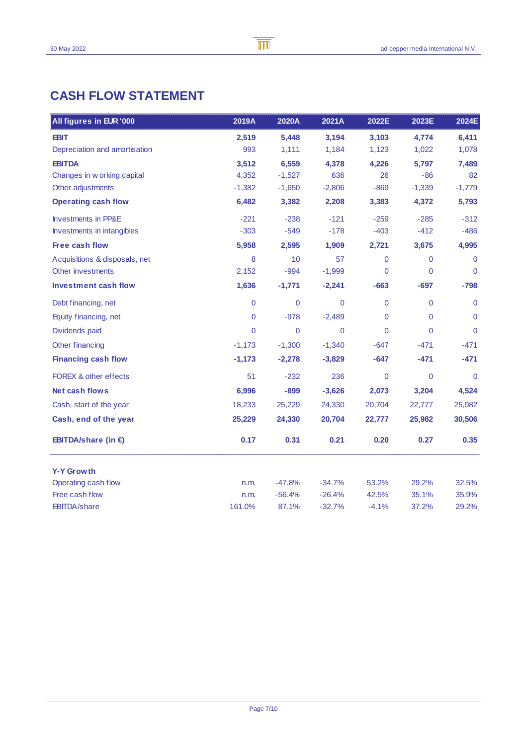## **CASH FLOW STATEMENT**

| All figures in EUR '000        | 2019A       | 2020A          | 2021A        | 2022E          | 2023E          | 2024E          |
|--------------------------------|-------------|----------------|--------------|----------------|----------------|----------------|
| <b>EBIT</b>                    | 2,519       | 5,448          | 3,194        | 3,103          | 4,774          | 6,411          |
| Depreciation and amortisation  | 993         | 1,111          | 1,184        | 1,123          | 1,022          | 1,078          |
| <b>EBITDA</b>                  | 3,512       | 6,559          | 4,378        | 4,226          | 5,797          | 7,489          |
| Changes in w orking capital    | 4,352       | $-1,527$       | 636          | 26             | $-86$          | 82             |
| Other adjustments              | $-1,382$    | $-1,650$       | $-2,806$     | $-869$         | $-1,339$       | $-1,779$       |
| <b>Operating cash flow</b>     | 6,482       | 3,382          | 2,208        | 3,383          | 4,372          | 5,793          |
| <b>Investments in PP&amp;E</b> | $-221$      | $-238$         | $-121$       | $-259$         | $-285$         | $-312$         |
| Investments in intangibles     | $-303$      | $-549$         | $-178$       | $-403$         | $-412$         | $-486$         |
| <b>Free cash flow</b>          | 5,958       | 2,595          | 1,909        | 2,721          | 3,675          | 4,995          |
| Acquisitions & disposals, net  | 8           | 10             | 57           | $\overline{0}$ | 0              | $\mathbf 0$    |
| Other investments              | 2,152       | $-994$         | $-1,999$     | 0              | 0              | $\overline{0}$ |
| <b>Investment cash flow</b>    | 1,636       | $-1,771$       | $-2,241$     | $-663$         | $-697$         | $-798$         |
| Debt financing, net            | $\mathbf 0$ | $\mathbf 0$    | $\mathbf{0}$ | $\mathbf 0$    | 0              | $\mathbf 0$    |
| Equity financing, net          | $\mathbf 0$ | $-978$         | $-2,489$     | 0              | 0              | $\Omega$       |
| Dividends paid                 | $\mathbf 0$ | $\overline{0}$ | $\Omega$     | $\overline{0}$ | $\overline{0}$ | $\Omega$       |
| Other financing                | $-1,173$    | $-1,300$       | $-1,340$     | $-647$         | $-471$         | -471           |
| <b>Financing cash flow</b>     | $-1,173$    | $-2,278$       | $-3,829$     | $-647$         | $-471$         | $-471$         |
| FOREX & other effects          | 51          | $-232$         | 236          | 0              | $\overline{0}$ | $\mathbf 0$    |
| Net cash flows                 | 6,996       | $-899$         | $-3,626$     | 2,073          | 3,204          | 4,524          |
| Cash, start of the year        | 18,233      | 25,229         | 24,330       | 20,704         | 22,777         | 25,982         |
| Cash, end of the year          | 25,229      | 24,330         | 20,704       | 22,777         | 25,982         | 30,506         |
| <b>EBITDA/share (in €)</b>     | 0.17        | 0.31           | 0.21         | 0.20           | 0.27           | 0.35           |
| <b>Y-Y Growth</b>              |             |                |              |                |                |                |
| Operating cash flow            | n.m.        | $-47.8%$       | $-34.7%$     | 53.2%          | 29.2%          | 32.5%          |
| Free cash flow                 | n.m.        | $-56.4%$       | $-26.4%$     | 42.5%          | 35.1%          | 35.9%          |
| <b>EBITDA/share</b>            | 161.0%      | 87.1%          | $-32.7%$     | $-4.1%$        | 37.2%          | 29.2%          |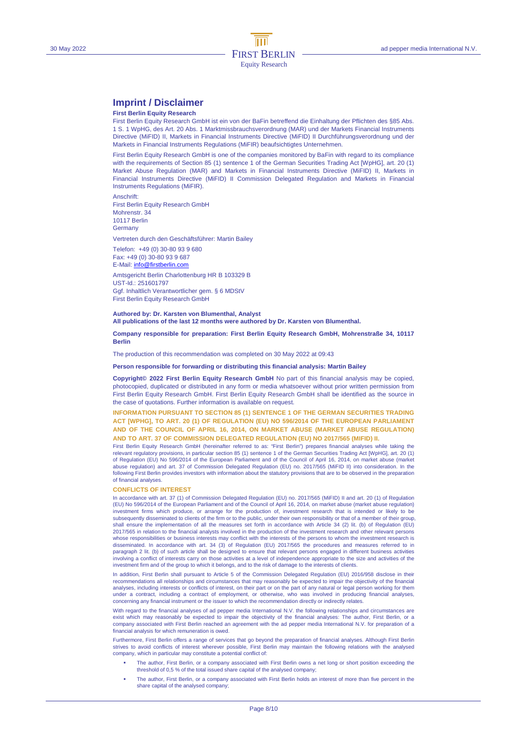## **Imprint / Disclaimer**

#### **First Berlin Equity Research**

First Berlin Equity Research GmbH ist ein von der BaFin betreffend die Einhaltung der Pflichten des §85 Abs. 1 S. 1 WpHG, des Art. 20 Abs. 1 Marktmissbrauchsverordnung (MAR) und der Markets Financial Instruments Directive (MiFID) II, Markets in Financial Instruments Directive (MiFID) II Durchführungsverordnung und der Markets in Financial Instruments Regulations (MiFIR) beaufsichtigtes Unternehmen.

First Berlin Equity Research GmbH is one of the companies monitored by BaFin with regard to its compliance with the requirements of Section 85 (1) sentence 1 of the German Securities Trading Act [WpHG], art. 20 (1) Market Abuse Regulation (MAR) and Markets in Financial Instruments Directive (MiFID) II, Markets in Financial Instruments Directive (MiFID) II Commission Delegated Regulation and Markets in Financial Instruments Regulations (MiFIR).

Anschrift: First Berlin Equity Research GmbH Mohrenstr. 34 10117 Berlin **Germany** 

Vertreten durch den Geschäftsführer: Martin Bailey

Telefon: +49 (0) 30-80 93 9 680 Fax: +49 (0) 30-80 93 9 687 E-Mail: info@firstberlin.com Amtsgericht Berlin Charlottenburg HR B 103329 B UST-Id.: 251601797 Ggf. Inhaltlich Verantwortlicher gem. § 6 MDStV First Berlin Equity Research GmbH

**Authored by: Dr. Karsten von Blumenthal, Analyst All publications of the last 12 months were authored by Dr. Karsten von Blumenthal.** 

#### **Company responsible for preparation: First Berlin Equity Research GmbH, Mohrenstraße 34, 10117 Berlin**

The production of this recommendation was completed on 30 May 2022 at 09:43

#### **Person responsible for forwarding or distributing this financial analysis: Martin Bailey**

**Copyright© 2022 First Berlin Equity Research GmbH** No part of this financial analysis may be copied, photocopied, duplicated or distributed in any form or media whatsoever without prior written permission from First Berlin Equity Research GmbH. First Berlin Equity Research GmbH shall be identified as the source in the case of quotations. Further information is available on request.

**INFORMATION PURSUANT TO SECTION 85 (1) SENTENCE 1 OF THE GERMAN SECURITIES TRADING ACT [WPHG], TO ART. 20 (1) OF REGULATION (EU) NO 596/2014 OF THE EUROPEAN PARLIAMENT AND OF THE COUNCIL OF APRIL 16, 2014, ON MARKET ABUSE (MARKET ABUSE REGULATION) AND TO ART. 37 OF COMMISSION DELEGATED REGULATION (EU) NO 2017/565 (MIFID) II.** 

First Berlin Equity Research GmbH (hereinafter referred to as: "First Berlin") prepares financial analyses while taking the relevant regulatory provisions, in particular section 85 (1) sentence 1 of the German Securities Trading Act [WpHG], art. 20 (1)<br>of Regulation (EU) No 596/2014 of the European Parliament and of the Council of April 16, 201 abuse regulation) and art. 37 of Commission Delegated Regulation (EU) no. 2017/565 (MiFID II) into consideration. In the following First Berlin provides investors with information about the statutory provisions that are to be observed in the preparation of financial analyses.

#### **CONFLICTS OF INTEREST**

In accordance with art. 37 (1) of Commission Delegated Regulation (EU) no. 2017/565 (MiFID) II and art. 20 (1) of Regulation (EU) No 596/2014 of the European Parliament and of the Council of April 16, 2014, on market abuse (market abuse regulation) investment firms which produce, or arrange for the production of, investment research that is intended or likely to be subsequently disseminated to clients of the firm or to the public, under their own responsibility or that of a member of their group, shall ensure the implementation of all the measures set forth in accordance with Article 34 (2) lit. (b) of Regulation (EU) 2017/565 in relation to the financial analysts involved in the production of the investment research and other relevant persons whose responsibilities or business interests may conflict with the interests of the persons to whom the investment research is disseminated. In accordance with art. 34 (3) of Regulation (EU) 2017/565 the procedures and measures referred to in paragraph 2 lit. (b) of such article shall be designed to ensure that relevant persons engaged in different business activities involving a conflict of interests carry on those activities at a level of independence appropriate to the size and activities of the investment firm and of the group to which it belongs, and to the risk of damage to the interests of clients.

In addition, First Berlin shall pursuant to Article 5 of the Commission Delegated Regulation (EU) 2016/958 disclose in their recommendations all relationships and circumstances that may reasonably be expected to impair the objectivity of the financial analyses, including interests or conflicts of interest, on their part or on the part of any natural or legal person working for them under a contract, including a contract of employment, or otherwise, who was involved in producing financial analyses, concerning any financial instrument or the issuer to which the recommendation directly or indirectly relates.

With regard to the financial analyses of ad pepper media International N.V. the following relationships and circumstances are exist which may reasonably be expected to impair the objectivity of the financial analyses: The author, First Berlin, or a company associated with First Berlin reached an agreement with the ad pepper media International N.V. for preparation of a financial analysis for which remuneration is owed.

Furthermore, First Berlin offers a range of services that go beyond the preparation of financial analyses. Although First Berlin strives to avoid conflicts of interest wherever possible, First Berlin may maintain the following relations with the analysed<br>company, which in particular may constitute a potential conflict of:

- The author, First Berlin, or a company associated with First Berlin owns a net long or short position exceeding the threshold of 0,5 % of the total issued share capital of the analysed company;
- The author, First Berlin, or a company associated with First Berlin holds an interest of more than five percent in the share capital of the analysed company;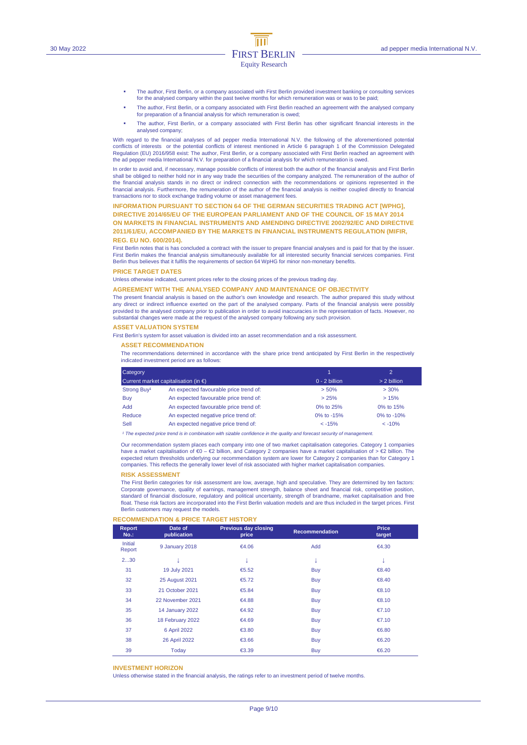- The author, First Berlin, or a company associated with First Berlin provided investment banking or consulting services for the analysed company within the past twelve months for which remuneration was or was to be paid;
- The author, First Berlin, or a company associated with First Berlin reached an agreement with the analysed company for preparation of a financial analysis for which remuneration is owed;
- The author, First Berlin, or a company associated with First Berlin has other significant financial interests in the analysed company;

With regard to the financial analyses of ad pepper media International N.V. the following of the aforementioned potential conflicts of interests or the potential conflicts of interest mentioned in Article 6 paragraph 1 of the Commission Delegated Regulation (EU) 2016/958 exist: The author, First Berlin, or a company associated with First Berlin reached an agreement with the ad pepper media International N.V. for preparation of a financial analysis for which remuneration is owed.

In order to avoid and, if necessary, manage possible conflicts of interest both the author of the financial analysis and First Berlin shall be obliged to neither hold nor in any way trade the securities of the company analyzed. The remuneration of the author of<br>the financial analysis stands in no direct or indirect connection with the recommendations or financial analysis. Furthermore, the remuneration of the author of the financial analysis is neither coupled directly to financial transactions nor to stock exchange trading volume or asset management fees.

#### **INFORMATION PURSUANT TO SECTION 64 OF THE GERMAN SECURITIES TRADING ACT [WPHG],**

**DIRECTIVE 2014/65/EU OF THE EUROPEAN PARLIAMENT AND OF THE COUNCIL OF 15 MAY 2014 ON MARKETS IN FINANCIAL INSTRUMENTS AND AMENDING DIRECTIVE 2002/92/EC AND DIRECTIVE 2011/61/EU, ACCOMPANIED BY THE MARKETS IN FINANCIAL INSTRUMENTS REGULATION (MIFIR, REG. EU NO. 600/2014).** 

First Berlin notes that is has concluded a contract with the issuer to prepare financial analyses and is paid for that by the issuer. First Berlin makes the financial analysis simultaneously available for all interested security financial services companies. First Berlin thus believes that it fulfils the requirements of section 64 WpHG for minor non-monetary benefits.

#### **PRICE TARGET DATES**

Unless otherwise indicated, current prices refer to the closing prices of the previous trading day.

#### **AGREEMENT WITH THE ANALYSED COMPANY AND MAINTENANCE OF OBJECTIVITY**

The present financial analysis is based on the author's own knowledge and research. The author prepared this study without any direct or indirect influence exerted on the part of the analysed company. Parts of the financial analysis were possibly provided to the analysed company prior to publication in order to avoid inaccuracies in the representation of facts. However, no substantial changes were made at the request of the analysed company following any such provision.

#### **ASSET VALUATION SYSTEM**

First Berlin's system for asset valuation is divided into an asset recommendation and a risk assessment.

#### **ASSET RECOMMENDATION**

The recommendations determined in accordance with the share price trend anticipated by First Berlin in the respectively indicated investment period are as follows:

| Category<br>Current market capitalisation (in $\epsilon$ ) |                                        |                 | $\mathcal{D}$ |  |
|------------------------------------------------------------|----------------------------------------|-----------------|---------------|--|
|                                                            |                                        | $0 - 2$ billion | > 2 billion   |  |
| Strong Buy <sup>1</sup>                                    | An expected favourable price trend of: | > 50%           | $> 30\%$      |  |
| Buy                                                        | An expected favourable price trend of: | > 25%           | >15%          |  |
| <b>Add</b>                                                 | An expected favourable price trend of: | 0% to 25%       | 0% to 15%     |  |
| Reduce                                                     | An expected negative price trend of:   | 0% to -15%      | 0% to $-10%$  |  |
| Sell                                                       | An expected negative price trend of:   | $< -15%$        | $< -10%$      |  |

<sup>1</sup> The expected price trend is in combination with sizable confidence in the quality and forecast security of managen

Our recommendation system places each company into one of two market capitalisation categories. Category 1 companies have a market capitalisation of €0 – €2 billion, and Category 2 companies have a market capitalisation of > €2 billion. The expected return thresholds underlying our recommendation system are lower for Category 2 companies than for Category 1 companies. This reflects the generally lower level of risk associated with higher market capitalisation companies.

#### **RISK ASSESSMENT**

The First Berlin categories for risk assessment are low, average, high and speculative. They are determined by ten factors: Corporate governance, quality of earnings, management strength, balance sheet and financial risk, competitive position, standard of financial disclosure, regulatory and political uncertainty, strength of brandname, market capitalisation and free float. These risk factors are incorporated into the First Berlin valuation models and are thus included in the target prices. First Berlin customers may request the models.

#### **RECOMMENDATION & PRICE TARGET HISTORY**

| Report<br>$No.$ : | Date of<br>publication | <b>Previous day closing</b><br>price | <b>Recommendation</b> | <b>Price</b><br>target |  |
|-------------------|------------------------|--------------------------------------|-----------------------|------------------------|--|
| Initial<br>Report | 9 January 2018         | €4.06                                | Add                   | €4.30                  |  |
| 230               |                        | ↓                                    |                       | ٠                      |  |
| 31                | 19 July 2021           | €5.52                                | Buy                   | €8.40                  |  |
| 32                | <b>25 August 2021</b>  | € $5.72$                             | Buy                   | €8.40                  |  |
| 33                | 21 October 2021        | €5.84                                | <b>Buy</b>            | €8.10                  |  |
| 34                | 22 November 2021       | €4.88                                | Buy                   | €8.10                  |  |
| 35                | 14 January 2022        | €4.92                                | <b>Buy</b>            | €7.10                  |  |
| 36                | 18 February 2022       | €4.69                                | Buy                   | €7.10                  |  |
| 37                | 6 April 2022           | € $3.80$                             | <b>Buy</b>            | € $6.80$               |  |
| 38                | 26 April 2022          | €3.66                                | Buy                   | € $6.20$               |  |
| 39                | Today                  | €3.39                                | <b>Buy</b>            | € $6.20$               |  |

#### **INVESTMENT HORIZON**

Unless otherwise stated in the financial analysis, the ratings refer to an investment period of twelve months.